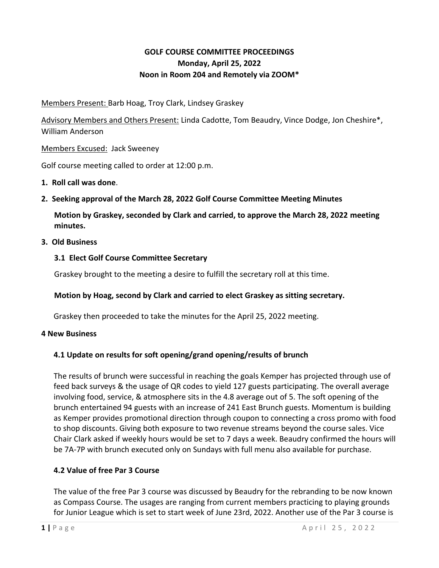# **GOLF COURSE COMMITTEE PROCEEDINGS Monday, April 25, 2022 Noon in Room 204 and Remotely via ZOOM\***

Members Present: Barb Hoag, Troy Clark, Lindsey Graskey

Advisory Members and Others Present: Linda Cadotte, Tom Beaudry, Vince Dodge, Jon Cheshire\*, William Anderson

Members Excused: Jack Sweeney

Golf course meeting called to order at 12:00 p.m.

- **1. Roll call was done**.
- **2. Seeking approval of the March 28, 2022 Golf Course Committee Meeting Minutes**

**Motion by Graskey, seconded by Clark and carried, to approve the March 28, 2022 meeting minutes.**

### **3. Old Business**

### **3.1 Elect Golf Course Committee Secretary**

Graskey brought to the meeting a desire to fulfill the secretary roll at this time.

## **Motion by Hoag, second by Clark and carried to elect Graskey as sitting secretary.**

Graskey then proceeded to take the minutes for the April 25, 2022 meeting.

#### **4 New Business**

## **4.1 Update on results for soft opening/grand opening/results of brunch**

The results of brunch were successful in reaching the goals Kemper has projected through use of feed back surveys & the usage of QR codes to yield 127 guests participating. The overall average involving food, service, & atmosphere sits in the 4.8 average out of 5. The soft opening of the brunch entertained 94 guests with an increase of 241 East Brunch guests. Momentum is building as Kemper provides promotional direction through coupon to connecting a cross promo with food to shop discounts. Giving both exposure to two revenue streams beyond the course sales. Vice Chair Clark asked if weekly hours would be set to 7 days a week. Beaudry confirmed the hours will be 7A-7P with brunch executed only on Sundays with full menu also available for purchase.

## **4.2 Value of free Par 3 Course**

The value of the free Par 3 course was discussed by Beaudry for the rebranding to be now known as Compass Course. The usages are ranging from current members practicing to playing grounds for Junior League which is set to start week of June 23rd, 2022. Another use of the Par 3 course is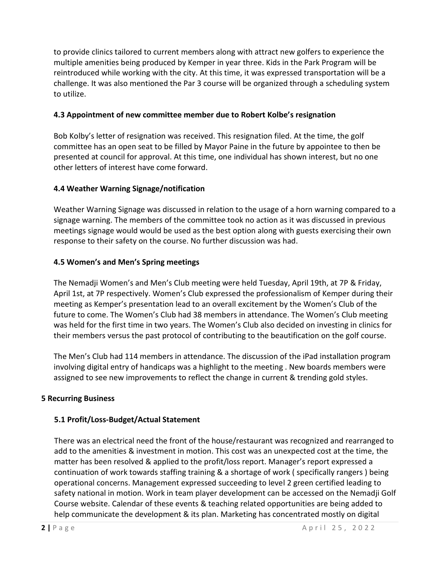to provide clinics tailored to current members along with attract new golfers to experience the multiple amenities being produced by Kemper in year three. Kids in the Park Program will be reintroduced while working with the city. At this time, it was expressed transportation will be a challenge. It was also mentioned the Par 3 course will be organized through a scheduling system to utilize.

### **4.3 Appointment of new committee member due to Robert Kolbe's resignation**

Bob Kolby's letter of resignation was received. This resignation filed. At the time, the golf committee has an open seat to be filled by Mayor Paine in the future by appointee to then be presented at council for approval. At this time, one individual has shown interest, but no one other letters of interest have come forward.

### **4.4 Weather Warning Signage/notification**

Weather Warning Signage was discussed in relation to the usage of a horn warning compared to a signage warning. The members of the committee took no action as it was discussed in previous meetings signage would would be used as the best option along with guests exercising their own response to their safety on the course. No further discussion was had.

### **4.5 Women's and Men's Spring meetings**

The Nemadji Women's and Men's Club meeting were held Tuesday, April 19th, at 7P & Friday, April 1st, at 7P respectively. Women's Club expressed the professionalism of Kemper during their meeting as Kemper's presentation lead to an overall excitement by the Women's Club of the future to come. The Women's Club had 38 members in attendance. The Women's Club meeting was held for the first time in two years. The Women's Club also decided on investing in clinics for their members versus the past protocol of contributing to the beautification on the golf course.

The Men's Club had 114 members in attendance. The discussion of the iPad installation program involving digital entry of handicaps was a highlight to the meeting . New boards members were assigned to see new improvements to reflect the change in current & trending gold styles.

#### **5 Recurring Business**

## **5.1 Profit/Loss-Budget/Actual Statement**

There was an electrical need the front of the house/restaurant was recognized and rearranged to add to the amenities & investment in motion. This cost was an unexpected cost at the time, the matter has been resolved & applied to the profit/loss report. Manager's report expressed a continuation of work towards staffing training & a shortage of work ( specifically rangers ) being operational concerns. Management expressed succeeding to level 2 green certified leading to safety national in motion. Work in team player development can be accessed on the Nemadji Golf Course website. Calendar of these events & teaching related opportunities are being added to help communicate the development & its plan. Marketing has concentrated mostly on digital